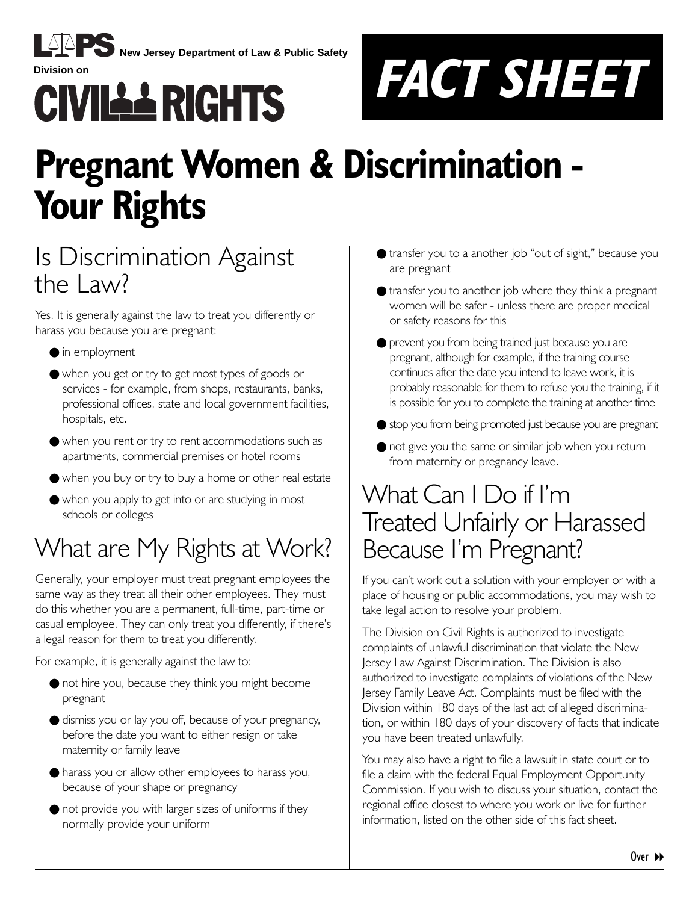

**New Jersey Department of Law & Public Safety**



## **Pregnant Women & Discrimination - Your Rights**

### Is Discrimination Against the  $l$  aw?

Yes. It is generally against the law to treat you differently or harass you because you are pregnant:

- in employment
- when you get or try to get most types of goods or services - for example, from shops, restaurants, banks, professional offices, state and local government facilities, hospitals, etc.
- when you rent or try to rent accommodations such as apartments, commercial premises or hotel rooms
- when you buy or try to buy a home or other real estate
- when you apply to get into or are studying in most schools or colleges

## What are My Rights at Work?

Generally, your employer must treat pregnant employees the same way as they treat all their other employees. They must do this whether you are a permanent, full-time, part-time or casual employee. They can only treat you differently, if there's a legal reason for them to treat you differently.

For example, it is generally against the law to:

- not hire you, because they think you might become pregnant
- dismiss you or lay you off, because of your pregnancy, before the date you want to either resign or take maternity or family leave
- harass you or allow other employees to harass you, because of your shape or pregnancy
- not provide you with larger sizes of uniforms if they normally provide your uniform
- transfer you to a another job "out of sight," because you are pregnant
- transfer you to another job where they think a pregnant women will be safer - unless there are proper medical or safety reasons for this
- prevent you from being trained just because you are pregnant, although for example, if the training course continues after the date you intend to leave work, it is probably reasonable for them to refuse you the training, if it is possible for you to complete the training at another time
- stop you from being promoted just because you are pregnant
- not give you the same or similar job when you return from maternity or pregnancy leave.

### What Can I Do if I'm Treated Unfairly or Harassed Because Iím Pregnant?

If you can't work out a solution with your employer or with a place of housing or public accommodations, you may wish to take legal action to resolve your problem.

The Division on Civil Rights is authorized to investigate complaints of unlawful discrimination that violate the New Jersey Law Against Discrimination. The Division is also authorized to investigate complaints of violations of the New Jersey Family Leave Act. Complaints must be filed with the Division within 180 days of the last act of alleged discrimination, or within 180 days of your discovery of facts that indicate you have been treated unlawfully.

You may also have a right to file a lawsuit in state court or to file a claim with the federal Equal Employment Opportunity Commission. If you wish to discuss your situation, contact the regional office closest to where you work or live for further information, listed on the other side of this fact sheet.